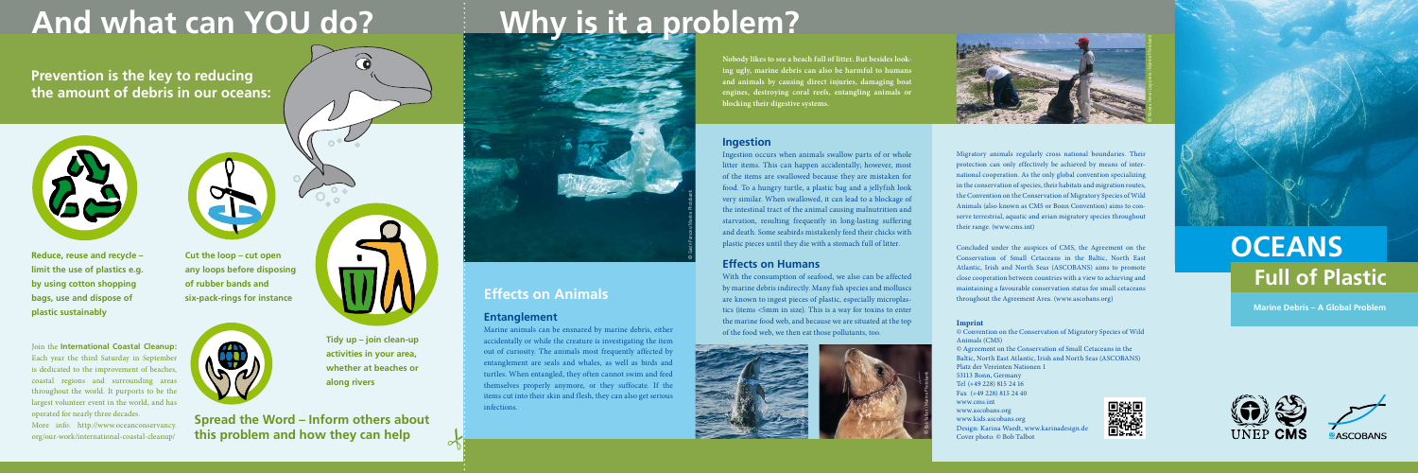**Nobody likes to see a beach full of litter. But besides looking ugly, marine debris can also be harmful to humans and animals by causing direct injuries, damaging boat engines, destroying coral reefs, entangling animals or blocking their digestive systems.** 

**Spread the Word – Inform others about this problem and how they can help**

Migratory animals regularly cross national boundaries. Their protection can only effectively be achieved by means of international cooperation. As the only global convention specializing in the conservation of species, their habitats and migration routes, the Convention on the Conservation of Migratory Species of Wild Animals (also known as CMS or Bonn Convention) aims to conserve terrestrial, aquatic and avian migratory species throughout their range. (www.cms.int)

Concluded under the auspices of CMS, the Agreement on the Conservation of Small Cetaceans in the Baltic, North East Atlantic, Irish and North Seas (ASCOBANS) aims to promote close cooperation between countries with a view to achieving and maintaining a favourable conservation status for small cetaceans throughout the Agreement Area. (www.ascobans.org)

#### **Imprint**

© Convention on the Conservation of Migratory Species of Wild Animals (CMS)

© Agreement on the Conservation of Small Cetaceans in the Baltic, North East Atlantic, Irish and North Seas (ASCOBANS) Platz der Vereinten Nationen 1 53113 Bonn, Germany Tel (+49 228) 815 24 16 Fax (+49 228) 815 24 40 [www.cms.int](http://www.cms.int) [www.ascobans.org](http://www.ascobans.org)  [www.kids.ascobans.org](http://www.kids.ascobans.org) Design: Karina Waedt, [www.karinadesign.de](http://www.karinadesign.de)





Cover photo: © Bob Talbot

# And what can YOU do? **Why is it a problem?**

**Prevention is the key to reducing the amount of debris in our oceans:**



**Reduce, reuse and recycle – limit the use of plastics e.g. by using cotton shopping bags, use and dispose of plastic sustainably**

More info: [http://www.oceanconservancy.](http://www.oceanconservancy.org/our-work/international-coastal-cleanup/) [org/our-work/international-coastal-cleanup/](http://www.oceanconservancy.org/our-work/international-coastal-cleanup/)



**Cut the loop – cut open any loops before disposing of rubber bands and six-pack-rings for instance**



**Tidy up – join clean-up activities in your area, whether at beaches or along rivers**

6

### **Effects on Animals**

### **Entanglement**

8

Marine animals can be ensnared by marine debris, either accidentally or while the creature is investigating the item out of curiosity. The animals most frequently affected by entanglement are seals and whales, as well as birds and turtles. When entangled, they often cannot swim and feed themselves properly anymore, or they suffocate. If the items cut into their skin and flesh, they can also get serious infections.

#### **Ingestion**

Ingestion occurs when animals swallow parts of or whole litter items. This can happen accidentally; however, most of the items are swallowed because they are mistaken for food. To a hungry turtle, a plastic bag and a jellyfish look very similar. When swallowed, it can lead to a blockage of the intestinal tract of the animal causing malnutrition and starvation, resulting frequently in long-lasting suffering and death. Some seabirds mistakenly feed their chicks with plastic pieces until they die with a stomach full of litter.

#### **Effects on Humans**

With the consumption of seafood, we also can be affected by marine debris indirectly. Many fish species and molluscs are known to ingest pieces of plastic, especially microplastics (items <5mm in size). This is a way for toxins to enter the marine food web, and because we are situated at the top of the food web, we then eat those pollutants, too.

Join the **International Coastal Cleanup:**  Each year the third Saturday in September is dedicated to the improvement of beaches, coastal regions and surrounding areas throughout the world. It purports to be the largest volunteer event in the world, and has operated for nearly three decades.

## **OCEANS Full of Plastic**

**Marine Debris – A Global Problem**







© Bob Talbot /Marine Photobank